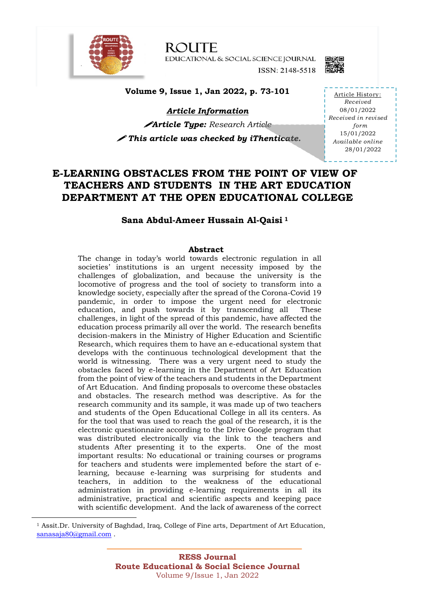

**ROUTE** EDUCATIONAL & SOCIAL SCIENCE JOURNAL ISSN: 2148-5518



**Volume 9, Issue 1, Jan 2022, p. 73-101**

*Article Information* !*Article Type: Research Article*

! *This article was checked by iThenticate.* 

Article History: *Received* 08/01/2022 *Received in revised form* 15/01/2022 *Available online* 28/01/2022

## **E-LEARNING OBSTACLES FROM THE POINT OF VIEW OF TEACHERS AND STUDENTS IN THE ART EDUCATION DEPARTMENT AT THE OPEN EDUCATIONAL COLLEGE**

### **Sana Abdul-Ameer Hussain Al-Qaisi <sup>1</sup>**

### **Abstract**

The change in today's world towards electronic regulation in all societies' institutions is an urgent necessity imposed by the challenges of globalization, and because the university is the locomotive of progress and the tool of society to transform into a knowledge society, especially after the spread of the Corona-Covid 19 pandemic, in order to impose the urgent need for electronic education, and push towards it by transcending all These challenges, in light of the spread of this pandemic, have affected the education process primarily all over the world. The research benefits decision-makers in the Ministry of Higher Education and Scientific Research, which requires them to have an e-educational system that develops with the continuous technological development that the world is witnessing. There was a very urgent need to study the obstacles faced by e-learning in the Department of Art Education from the point of view of the teachers and students in the Department of Art Education. And finding proposals to overcome these obstacles and obstacles. The research method was descriptive. As for the research community and its sample, it was made up of two teachers and students of the Open Educational College in all its centers. As for the tool that was used to reach the goal of the research, it is the electronic questionnaire according to the Drive Google program that was distributed electronically via the link to the teachers and students After presenting it to the experts. One of the most important results: No educational or training courses or programs for teachers and students were implemented before the start of elearning, because e-learning was surprising for students and teachers, in addition to the weakness of the educational administration in providing e-learning requirements in all its administrative, practical and scientific aspects and keeping pace with scientific development. And the lack of awareness of the correct

<sup>1</sup> Assit.Dr. University of Baghdad, Iraq, College of Fine arts, Department of Art Education, sanasaja80@gmail.com .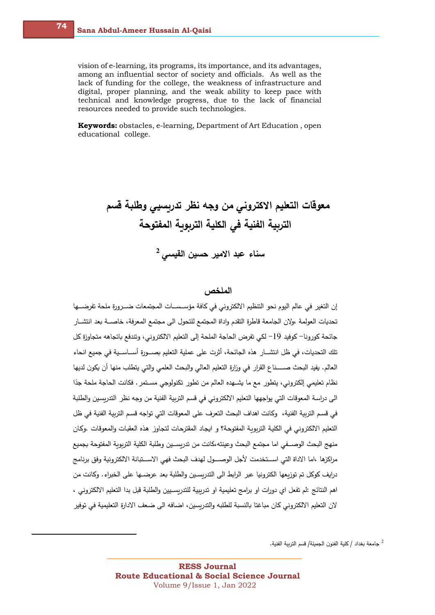vision of e-learning, its programs, its importance, and its advantages, among an influential sector of society and officials. As well as the lack of funding for the college, the weakness of infrastructure and digital, proper planning, and the weak ability to keep pace with technical and knowledge progress, due to the lack of financial resources needed to provide such technologies.

**Keywords:** obstacles, e-learning, Department of Art Education , open educational college.

# معوقات التعليم الاكترون*ي* من وجه نظر تدربسي*ي* وطلبة قسم التربية الفنية ف*ي* الكلية التربوبة المفتوحة سناء عبد الامير حسين القي*سي* <sup>2</sup>

### ا**لملخص** ،

إن التغير في عالم اليوم نحو التنظيم الالكتروني في كافة مؤسـسـات المجتمعات ضــرورة ملحة تفرضــها تحديات العولمة ،ولان الجامعة قاطرة التقدم واداة المجتمع للتحول الى مجتمع المعرفة، خاصـــة بعد انتشــار جائحة كورونا− كوفيد 19− لكي تفرض الحاجة الملحة إلى التعليم الالكتروني، وتتدفع باتجاهه متجاوزة كل تلك التحديات، في ظل انتشـــار هذه الجائحة، أثرت على عملية التعليم بصـــورة أســـاســية في جميع انحاء العالم. يفيد البحث صـــــناع القرار في وزارة التعليم العالي والبحث العلمي والتي يتطلب منها أن يكون لديها نظام تعليمي إلكتروني، يتطور مع ما يشــهده العالم من تطور تكنولوجي مســتمر . فكانت الـحاجة ملحة جدًا الى دراسة المعوقات التي يواجهها التعليم الالكتروني في قسم التربية الفنية من وجه نظر التدريسين والطلبة في قسم التربية الفنية، وكانت اهداف البحث التعرف على المعوقات التي تواجه قسم التربية الفنية في ظل التعليم الالكتروني في الكلية التربوبة المفتوحة؟ و ايجاد المقترحات لتجاوز هذه العقبات والمعوقات .وكان منهج البحث الوصـــفي اما مجتمع البحث وعينته،كانت من تدرســـين وطلبة الكلية التربوبة المفتوحة بجميع مراكزها ،اما الاداة التي اســـتخدمت لأجل الوصــــول لهدف البحث فهي الاســـتبانة الالكترونية وفق برنامج درايف كوكل تم توزيعها الكترونيا عبر الرابط الى التدريسين والطلبة بعد عرضــها على الخبراء. وكانت من اهم النتائج :لم تفعل اي دورات او برامج تعليمية او تدرببية للتدربسـيين والطلبة قبل بدا التعليم الالكتروني ، لان التعليم الالكتروني كان مباغتا بالنسبة للطلبه والتدرسين، اضبافه الى ضبعف الادارة التعليمية في توفير

جامعة بغداد / كلية الفنون الجميلة/ قسم التربية الفنية.  $^2$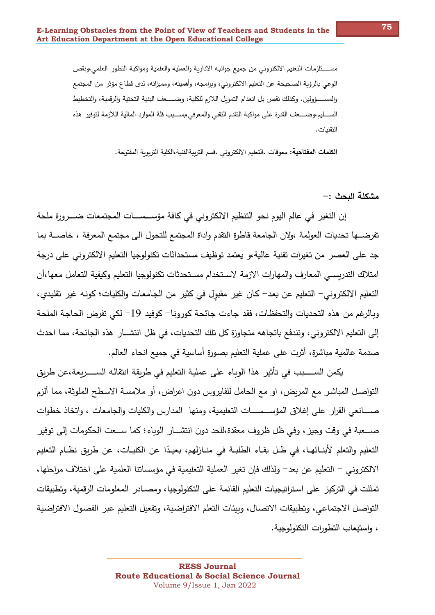مســــــتلزمات التعليم الالكتروني من جميع جوانبه الاداربة والعمليه والعلمية ومواكبة التطور العلمي،ونقص الوعي بالرؤبة الصحيحة عن التعليم الالكتروني، وبرامجه، وأهميته، ومميزاته، لدى قطاع مؤثر من المجتمع والمســـــؤولين. وكذلك نقص بل انعدام التموبل اللازم للكلية، وضــــــعف البنية التحتية والرقمية، والتخطيط الســــليم،وضـــــعف القدرة على مواكبة التقدم التقني والمعرفي،بســـبب قلة الموارد المالية اللازمة لتوفير هذه التقنيات.

ا**لكلمات المفتاحية:** معوقات ،التعليم الالكتروني ،قسم التربيةالفنية،الكلية التربوية المفتوحة.

**: >;'لا ةل89م -**

إن التغير في عالم اليوم نحو التنظيم الالكتروني في كافة مؤســســـات المجتمعات ضـــرورة ملحة تفرضـــها تحديات العولمة ،ولان الجامعة قاطرة التقدم وإداة المجتمع للتحول الى مجتمع المعرفة ، خاصـــة بما جد على العصر من تغيرات تقنية عالية،و يعتمد توظيف مستحداثات تكنولوجيا التعليم الالكتروني على درجة امتلاك التدربسـي المعارف والمهارات الازمة لاسـتخدام مسـتحدثات تكنولوجيا التعليم وكيفية التعامل معها ،أن التعليم الالكتروني– التعليم عن بعد– كان غير مقبول في كثير من الجامعات والكليات؛ كونـه غير تقليدي، وبالرغم من هذه التحديات والتحفظات، فقد جاءت جائحة كورونا– كوفيد 19– لكي تفرض الحاجة الملحة إلى التعليم الالكتروني، وتندفع باتجاهه متجاوزة كل تلك التحديات، في ظل انتشــار ٍ هذه الجائحة، مما احدث صدمة عالمية مباشرة، أثرت على عملية التعليم بصورة أساسية في جميع انحاء العالم.

يكمن الســـــبب في تأثير هذا الوباء على عملية التعليم في طربقة انتقاله الســـــربعة،عن طربق التواصـل المباشـر مع المربض، او مع الـحامل للفايروس دون اعراض، أو ملامسـة الاسـطـح الملوثة، مما ألزم صـــــانعي القرار على إغلاق المؤســـســــات التعليمية، ومنها المدارس والكليات والجامعات ، واتخاذ خطوات صــــعبة في وقت وجيز ، وفي ظل ظروف معقدة،للحد دون انتشـــار الوباء؛ كما ســـعت الحكومات إلى توفير التعليم والتعلم لأبنــائهـا، في ظـل بقـاء الطلبــة في منــازلهم، بعيـدًا عن الكليــات، عن طريق نظــام التعليم الالكتروني – التعليم عن بعد– ولذلك فإن تغير العملية التعليمية في مؤسساتنا العلمية على اختلاف مراحلها، تمثلت في التركيز على استراتيجيات التعليم القائمة على التكنولوجيا، ومصــادر المعلومات الرقمية، وتطبيقات التواصل الاجتماعي، وتطبيقات الاتصال، وبيئات التعلم الافتراضية، وتفعيل التعليم عبر الفصول الافتراضية ، وإستيعاب التطورات التكنولوجية.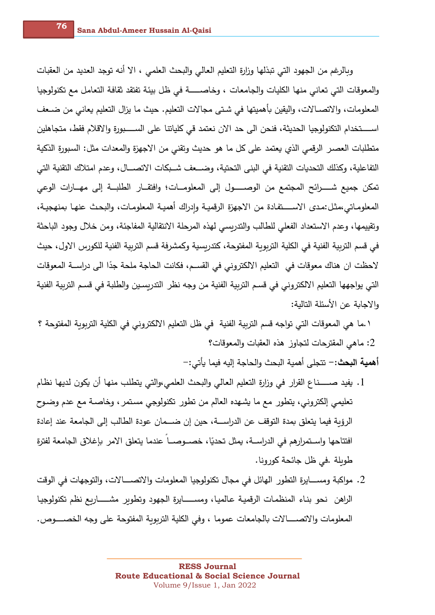وبالرغم من الجهود التي تبذلها وزارة التعليم العالي والبحث العلمي ، الا أنه توجد العديد من العقبات والمعوقات التي تعانى منها الكليات والجامعات ، وخاصـــــة في ظل بيئة تفتقد ثقافة التعامل مـع تكنولوجيا المعلومات، والاتصــالات، واليقين بأهميتها في شـتي مجالات التعليم. حيث ما يزال التعليم يعانـي من ضــعف اســـــتخدام التكنولوجيا الـحديثة، فنحن الى حد الان نعتمد قي كلياتنا على الســــبورة والاقلام فقط، متجاهلين متطلبات العصـر الرقمي الذي يعتمد على كل ما هو حديث وتقني من الاجهزة والمعدات مثل: السبورة الذكية التفاعلية، وكذلك التحديات التقنية في البني التحتية، وضـــعف شــبكات الاتصـــال، وعدم امتلاك التقنية التي تمكن جميع شــــــرائح المجتمع من الوصــــــول إلى المعلومـــات؛ وافتقـــار الطلبـــة إلى مهـــارات الوعي المعلومـاتي،مثـل:مـدى الاســـــتفـادة من الاجهزة الرقميــة وإدراك أهميــة المعلومـات، والبـحـث عنـهـا بمنهجيــة، وتقييمها، وعدم الاستعداد الفعلي للطالب والتدربسي لهذه المرحلة الانتقالية المفاجئة، ومن خلال وجود الباحثة في قسم التربية الفنية في الكلية التربوبة المفتوحة، كتدربسية وكمشرفة قسم التربية الفنية للكورس الاول، حيث لاحظت ان هناك معوقات في التعليم الالكتروني في القســم، فكانت الـحاجة ملحة جدًا الى دراســـة المعوقات التي يواجهها التعليم الالكتروني في قسم التربية الفنية من وجه نظر التدربسين والطلبة في قسم التربية الفنية والاجابة عن الأسئلة التالية:

١ .ما هي المعوقات التي تواجه قسم التربية الفنية في ظل التعليم الالكتروني في الكلية التربوبة المفتوحة ؟ ع ماهي المقترحات لتجاوز هذه العقبات والمعوقات؟ : $2$ 

**أهمية البحث:**– تتجلى أهمية البحث والحاجة إليه فيما يأتي:–

- 1. يفيد صـــــناع القرار في وزارة التعليم العالي والبحث العلمي،والتي يتطلب منها أن يكون لديها نظام تعليمي إلكتروني، يتطور مع ما يشهده العالم من تطور تكنولوجي مستمر ، وخاصـة مـع عدم وضـوح الرؤبة فيما يتعلق بمدة التوقف عن الدراســـة، حين إن ضـــمان عودة الطالب إلى الجامعة عند إعادة افتتاحها واســتمرارهم في الدراســـة، يمثل تحديًا، خصـــوصـــا عندما يتعلق الامر بإغلاق الجامعة لفترة طويلة .في ظل جائحة كورونا.
- 2. مواكبة ومســــايرة التطور الـهائل في مجال تكنولوجيا المعلومات والاتصــــــالات، والتوجهات في الوقت الراهن نحو بناء المنظمات الرقمية عالميا، ومســـــايرة الجهود وتطوير مشــــــاريع نظم تكنولوجيا المعلومات والاتصــــــــالات بالجامعات عموما ، وفي الكلية التربوبة المفتوحة على وجه الخصـــــوص.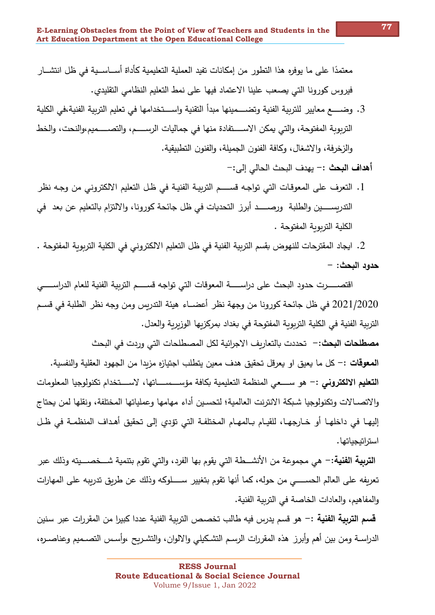معتمدًا على ما يوفره هذا التطور من إمكانات تفيد العملية التعليمية كأداة أســـاســية في ظل انتشـــار فيروس كورونا التي يصعب علينا الاعتماد فيها على نمط التعليم النظامي التقليدي.

3. وضــــــع مـعايير للتربية الفنية وتضـــــمينها مبدأ التقنية واســــتخدامها في تعليم التربية الفنية،في الكلية التربوية المفتوحة، والتي يمكن الاســــتفادة منها في جماليات الرســــم، والتصــــميم،والنحت، والخط والزخرفة، والاشغال، وكافة الفنون الجميلة، والفنون التطبيقية.

أ**هداف البحث :**– يهدف البحث الحالي إلى:–

1. التعرف على المعوقات التي تواجه قســـــم التربيــة الفنيــة في ظـل التعليم الالكتروني من وجـه نظر التدريســـــين والطلبة ورصـــــد أبرز التحديات في ظل جائحة كورونا، والالتزام بالتعليم عن بعد في الكلية التربوية المفتوحة .

2. ايجاد المقترحات للنهوض بقسم التربية الفنية في ظل التعليم الالكتروني في الكلية التربوبة المفتوحة .  **:>;'لا دو)ح -**

اقتصــــــرت حدود البحث على دراســــــة المعوقات التي تواجه قســـــم التربية الفنية للعام الدراســـــي 2021/2020 في ظل جائحة كورونا من وجهة نظر أعضـــاء هيئة التدربس ومن وجه نظر الطلبة في قســم التربية الفنية في الكلية التربوبة المفتوحة في بغداد بمركزبها الوزبربة والعدل.

**مصطلحات البحث:**– تحددت بالتعاريف الاجرائية لكل المصطلحات التي وردت في البحث

**المعوقات :** - كل ما يعيق او يعرقل تحقيق هدف معين يتطلب اجتيازه مزيدا من الجهود العقلية والنفسية. **التعليم الالكتروني :**– هو ســــعى المنظمة التعليمية بكافة مؤســـســـــاتها، لاســــتخدام تكنولوجيا المعلومات والاتصــالات وتكنولوجيا شـبكة الانترنت العالمية؛ لتحسـين أداء مهامها وعملياتها المختلفة، ونقلها لمن يحتاج إليهـا في داخلهـا أو خـارجهـا، للقيـام بـالمهـام المختلفـة التي تؤدي إلى تحقيق أهـداف المنظمـة في ظـل استراتيجياتها .

**التربية الفنية:**– هي مجموعة من الأنشـــطة التي يقوم بها الفرد، والتي تقوم بتنمية شـــخصـــيته وذلك عبر تعريفه على العالم الحســـــي من حوله، كما أنها تقوم بتغيير ســــلوكه وذلك عن طربق تدرببه على المهارات والمفاهيم، والعادات الخاصة في التربية الفنية.

**قسم التربية الفنية :**– هو قسم يدرس فيه طالب تخصص التربية الفنية عددا كبيرا من المقررات عبر سنين الدراســة ومن بين أهم وأبرز هذه المقررات الرسـم التشـكيلي والالوان، والتشـربح ،وأسـس التصــميم وعناصــره،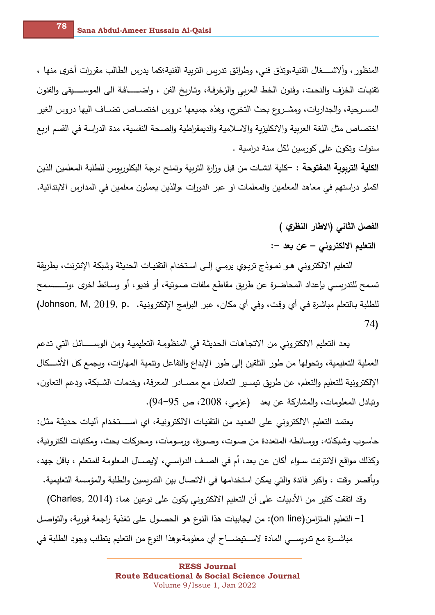المنظور ، وألاشــــغال الفنية،وتذق فني، وطرائق تدربس التربية الفنية؛كما يدرس الطالب مقررات أخرى منها ، تقنيات الخزف والنحت، وفنون الخط العربي والزخرفـة، وتـاريخ الفن ، واضـــــــافـة الى الموســـــيقى والفنون المسـرحية، والجداربات، ومشـروع بحث التخرج، وهذه جميعها دروس اختصـــاص تضــاف اليها دروس الغير اختصاص مثل اللغة العربية والانكليزية والاسلامية والديمقراطية والصحة النفسية، مدة الدراسة في القسم اربع سنوات وتكون على كورسين لكل سنة دراسية .

الكلية التربوبة المفتوحة : -كلية انشـات من قبل وزارة التربية وتمنح درجة البكلوريوس للطلبة المعلمين الذين اكملو دراستهم في معاهد المعلمين والمعلمات او عبر الدورات ،والذين يعملون معلمين في المدارس الابتدائية.

الفصل الثان*ي* (الاطار النظر*ي* )

التعليم الالكترون*ي – عن* بعد –:

التعليم الالكتروني هو نمـوذج تربـوي يرمـى إلـى اسـتخدام التقنيـات الحديثة وشبكة الإنترنت، بطريقة تسمح للتدربسي بإعداد المحاضـرة عن طربق مقاطـع ملفات صــوتية، أو فديو ، أو وسـائط اخرى ،وتـــــسمح للطلبة بالتعلم مباشرة فـي أي وقت، وفـي أي مكان، عبر البرامج الإلكترونية. Johnson, M, 2019, p. ) 74)

يعد التعليم الالكتروني من الاتجاهات الحديثة في المنظومة التعليمية ومن الوســـــائل التي تدعم العملية التعليمية، وتحولها من طور التلقين إلى طور الإبداع والتفاعل وتنمية المهارات، وبجمع كل الأشـــكال الإلكترونية للتعليم والتعلم، عن طريق تيسير التعامل مع مصــادر المعرفة، وخدمات الشـبكة، ودعم التعاون، وتبادل المعلومات، والمشاركة عن بعد (عزمي، 2008، ص 95-94).

يعتمد التعليم الالكتروني على العديد من التقنيات الالكترونية، اي اســــتخدام أليات حديثة مثل: حاسوب وشبكاته، ووسائطه المتعددة من صوت، وصورة، ورسومات، ومحركات بحث، ومكتبات الكترونية، وكذلك مواقع الانترنت ســواء أكان عن بعد، أم في الصــف الدراســي، لإيصـــال المعلومة للمتعلم ، باقل جهد، وبأقصر وقت ، واكبر فائدة والتي يمكن استخدامها في الاتصال بين التدربسين والطلبة والمؤسسة التعليمية.

وقد اتفقت كثير من الأدبيات على أن التعليم الالكتروني يكون على نوعين هما: (Charles, 2014) التعليم المتزامن(on line): من ايجابيات هذا النوع هو الحصـول على تغذية راجعة فوربة، والتواصـل – الله عنه الله ا مباشـــرة مـع تدربســـي المادة لاســتيضــــاح أي معلومة،وهذا النوع من التعليم يتطلب وجود الطلبة في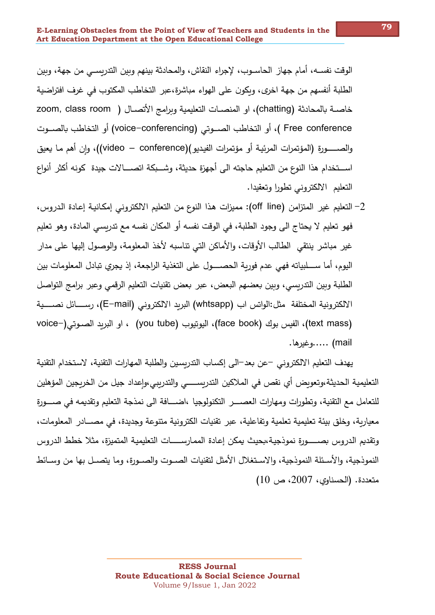الوقت نفســه، أمام جهاز الحاســوب، لإجراء النقاش، والمحادثة بينهم وبين التدربســي من جهة، وبين الطلبة أنفسهم من جهة اخرى، وبكون على الهواء مباشرة،عبر التخاطب المكتوب في غرف افتراضية خاصــة بالمحادثة (chatting)، او المنصــات التعليمية وبرامج الأتصــال ( zoom, class room Free conference )، أو التخاطب الصــوتي (voice–conferencing) أو التخاطب بالصــوت والصـــــورة (المؤتمرات المرئيـة أو مؤتمرات الفيديو)(video – conference))، وإن أهم مـا يعيق اســـتخدام هذا النوع من التعليم حاجته الى أجهزة حديثة، وشـــبكة اتصــــالات جيدة كونه أكثر أنواع التعليم الالكتروني تطورا وتعقيدا.

التعليم غير المتزامن (off line): مميزات هذا النوع من التعليم الالكتروني إمكانية إعادة الدروس، - ( فهو تعليم لا يحتاج الى وجود الطلبة، في الوقت نفسه أو المكان نفسه مع تدربسي المادة، وهو تعليم غير مباشر ينتقى الطالب الأوقات، والأماكن التي تناسبه لأخذ المعلومة، والوصول إليها على مدار اليوم، أما ســــلبياته فهي عدم فوربة الـحصــــول على التغذية الراجعة، إذ يجري تبادل المعلومات بين الطلبة وبين التدربسي، وبين بعضهم البعض، عبر بعض تقنيات التعليم الرقمي وعبر برامج التواصل الالكترونية المختلفة مثل:الواتس اب (whtsapp) البربد الالكتروني (E–mail)، رســــائل نصـــــية (text mass)، الفيس بوك (face book)، اليونيوب (you tube) ، او البريد الصبوتي(-voice mail) …..وغيرها.

يهدف التعليم الالكتروني –عن بعد–الى إكساب التدريسين والطلبة المهارات التقنية، لاستخدام التقنية التعليمية الحديثة،وتعويض أي نقص في الملاكين التدريســــي والتدريبي،وإعداد جيل من الخريجين المؤهلين للتعامل مع التقنية، وتطورات ومهارات العصــــر التكنولوجيا ،اضــــافة الى نمذجة التعليم وتقديمه في صــــورة معيارية، وخلق بيئة تعليمية تعلمية وتفاعلية، عبر تقنيات الكترونية متنوعة وجديدة، في مصـــادر المعلومات، وتقديم الدروس بصــــورة نموذجية،بحيث يمكن إعادة الممارســــات التعليمية المتميزة، مثلا خطط الدروس النموذجية، والأسـئلة النموذجية، والاسـتغلال الأمثل لتقنيات الصـوت والصـورة، وما يتصـل بها من وسـائط متعددة. (الحسناوي، 2007، ص 10)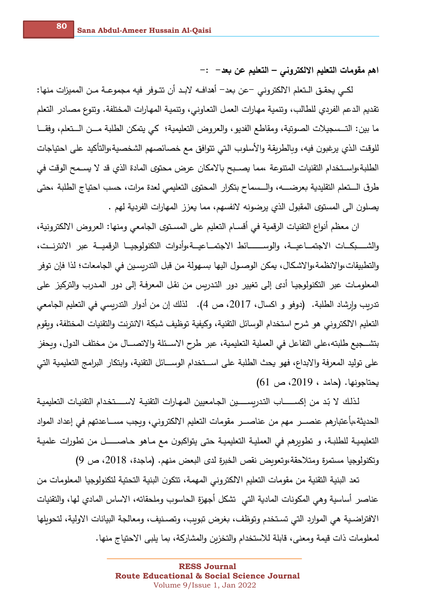اهم مقومات التعليم الالكتروني – التعليم عن بعد– :–

لكـي يحقـق الـتعلم الالكتروني –عن بعد– أهدافـه لابـد أن تتـوفر فيه مجموعـة مـن المميزات منها: تقديم الدعم الفردي للطالب، وتتمية مهارات العمل التعاوني، وتتمية المهارات المختلفة. وتتوع مصادر التعلم ما بين: التــسجيلات الصوتية، ومقاطع الفديو، والعروض التعليمية؛ كي يتمكن الطلبة مــن الــتعلم، وفقــا للوقت الذي يرغبون فيه، وبالطربقة والأسلوب التي تتوافق مع خصائصهم الشخصية،والتأكيد على احتياجات الطلبة،واستخدام التقنيات المتنوعة ،مما يصـبح بالامكان عرض محتوى المادة الذي قد لا يسـمح الوقت في طرق الـــتعلم التقليدية بعرضـــــه، والـــسماح بتكرار المحتوى التعليمي لعدة مرات، حسب احتياج الطلبة ،حتى يصلون الى المستوى المقبول الذي يرضونه لانفسهم، مما يعزز المهارات الفردية لهم .

ان معظم أنواع التقنيات الرقمية في أقســام التعليم على المسـتوى الجامعي ومنها: العروض الالكترونية، والشــــبكـــات الاجتمـــاعيـــة، والوســــــــائط الاجتمـــاعيـــة،وأدوات التكنولوجيـــا الرقميـــة عبر الانترنـــت، والتطبيقات،والانظمة،والاشكال، يمكن الوصـول اليها بسـهولة من قبل التدربسـين في الجامعات؛ لذا فإن توفر المعلومـات عبر التكنولوجيـا أدى إلى تغيير دور التدربس من نقل المعرفـة إلى دور المـدرب والتركيز على تدريب وإرشاد الطلبة. (دوفو و اكسال، 2017، ص 4). لذلك إن من أدوار التدريسي في التعليم الجامعي التعليم الالكتروني هو شرح استخدام الوسائل التقنية، وكيفية توظيف شبكة الانترنت والتقنيات المختلفة، وبقوم بتشــجيع طلبته،على التفاعل في العملية التعليمية، عبر طرح الاســئلة والاتصـــال من مختلف الدول، وبحفز على توليد المعرفة والإبداع، فهو يحث الطلبة على اســتخدام الوســـائل التقنية، وابتكار البرامج التعليمية التي يحتاجونها. (حامد ، 2019، ص 61)

لذلك لا بّد من إكســــــاب التدربســـــين الجـامعيين المهـارات التقنيــة لاســـــتخدام التقنيـات التعليميــة الحديثة،بأعتبارهم عنصـــر مهم من عناصـــر مقومات التعليم الالكتروني، ويجب مســـاعدتهم في إعداد المواد التعليميــة للطلبـة، و تطويرهم في العمليــة التعليميــة حتى يتواكبون مـع مــاهو حـاصــــــل من تطورات علميــة وتكنولوجيا مستمرة ومتلاحقة،وتعويض نقص الخبرة لدى البعض منهم. (ماجدة، 2018، ص 9)

تعد البنية التقنية من مقومات التعليم الالكتروني المهمة، تتكون البنية التحتية لتكنولوجيا المعلومات من عناصر أساسية وهي المكونات المادية التي تشكل أجهزة الحاسوب وملحقاته، الاساس المادي لها، والتقنيات الافتراضية هي الموارد التي تستخدم وتوظف، بغرض تبويب، وتصنيف، ومعالجة البيانات الاولية، لتحويلها لمعلومات ذات قيمة ومعنى، قابلة للاستخدام والتخزين والمشاركة، بما يلبي الاحتياج منها.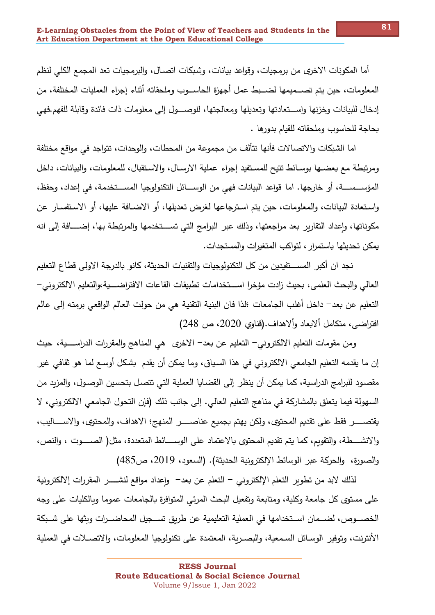أما المكونات الإخرى من برمجيات، وقواعد بيانات، وشبكات اتصـال، والبرمجيات تعد المجمع الكلي لنظم المعلومات، حين يتم تصـــميمها لضـــبط عمل أجهزة الـحاســـوب وملحقاته أثناء إجراء العمليات المختلفة، من إدخال للبيانات وخزنها واســتعادتها وتعديلها ومعالجتها، للوصـــول إلى معلومات ذات فائدة وقابلة للفهم.فهي بحاجة للحاسوب وملحقاته للقيام بدورها .

اما الشبكات والاتصالات فأنها تتألف من مجموعة من المحطات، والوحدات، تتواجد في مواقع مختلفة ومرتبطة مع بعضـها بوسـائط تتيح للمسـتفيد إجراء عملية الارسـال، والاسـتقبال، للمعلومات، والبيانات، داخل المؤســـســــة، أو خارجها. اما قواعد البيانات فهي من الوســــائل التكنولوجيا المســـتخدمة، في إعداد، وحفظ، واستعادة البيانات، والمعلومات، حين يتم استرجاعها لغرض تعديلها، أو الاضـافة عليها، أو الاستفسـار عن مكوناتها، وإعداد التقارير بعد مراجعتها، وذلك عبر البرامج التي تســـتخدمها والمرتبطة بها، إضــــافة إلى انه يمكن تحديثها باستمرار ، لتواكب المتغيرات والمستجدات.

نجد ان أكبر المســـتفيدين من كل التكنولوجيات والتقنيات الـحديثة، كانو بالدرجة الاولى قطاع التعليم العالي والبحث العلمي، بحيث زادت مؤخرا اســـتخدامات تطبيقات القاعات الافتراضـــية،والتعليم الالكتروني– التعليم عن بعد– داخل أغلب الجامعات ؛لذا فان البنية التقنية هي من حولت العالم الواقعي برمته إلى عالم افتراضي، متكامل ألابعاد وألاهداف.(قناوي 2020، ص 248)

ومن مقومات التعليم الالكتروني– التعليم عن بعد– الاخرى هي المناهج والمقررات الدراســـية، حيث إن ما يقدمه التعليم الجامعي الالكتروني في هذا السياق، وما يمكن أن يقدم بشكل أوسـع لما هو ثقافي غير مقصـود للبرامج الدراسية، كما يمكن أن ينظر إلى القضـايا العملية التي تتصـل بتحسين الوصـول، والمزبد من السهولة فيما يتعلق بالمشاركة في مناهج التعليم العالي. إلى جانب ذلك (فإن التحول الجامعي الالكتروني، لا يقتصـــــــر فقط على تقديم المحتوى، ولكن يهتم بجميع عناصــــــر المنهج؛ الاهداف، والمحتوى، والاســـــاليب، والانشــــطة، والتقويم، كما يتم تقديم المحتوى بالاعتماد على الوســــائط المتعددة، مثل( الصـــــوت ، والنص، والصورة، والحركة عبر الوسائط الإلكترونية الحديثة). (السعود، 2019، ص485)

لذلك لابد من تطوير التعلم الإلكتروني – التعلم عن بعد– وإعداد مواقع لنشـــــر المقررات إلالكترونية على مستوى كل جامعة وكلية، ومتابعة وتفعيل البحث المرئي المتوافرة بالجامعات عموما وبالكليات على وجه الخصـــوص، لضـــمان اســتخدامها في العملية التعليمية عن طربق تســـجيل المحاضـــرات وبثها على شــبكة الانترنت، وتوفير الوسـائل السـمعية، والبصـربـة، المعتمدة علـى تكنولوجيا المعلومات، والاتصــلات في العملية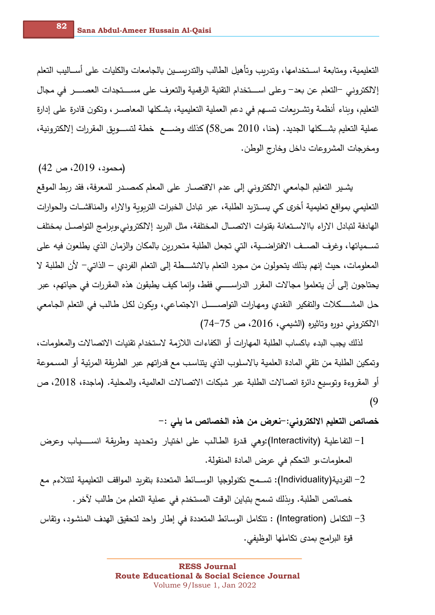التعليمية، ومتابعة اســتخدامها، وتدربب وتأهيل الطالب والتدربســين بالجامعات والكليات على أســـاليب التعلم إلالكتروني −التعلم عن بعد− وعلى اســـتخدام التقنية الرقمية والتعرف على مســـتجدات العصـــــر في مجال التعليم، وبناء أنظمة وتشــربعات تســهم في دعم العملية التعليمية، بشـكلها المعاصــر ، وتكون قادرة على إدارة عملية التعليم بشـــكلها الجديد. (حنا، 2010 ،ص58) كذلك وضــــع خطة لتســـوبق المقررات إلالكترونية، ومخرجات المشروعات داخل وخارج الوطن.

 $(42 \, \omega \, \text{.}2019)$  ص)

**82**

يشـير التعليم الجامعي الالكتروني إلى عدم الاقتصــار على المعلم كمصــدر للمعرفة، فقد ربط الموقع التعليمي بمواقع تعليمية أخرى كي يسـتزيد الطلبة، عبر تبادل الخبرات التربوبة والاراء والمناقشــات والحوارات الهادفة لتبادل الاراء باالاسـتعانة بقنوات الاتصــال المختلفة، مثل البربد إلالكتروني،وبرامج التواصــل بمختلف تســمياتها، وغرف الصــف الافتراضــية، التي تجعل الطلبة متحرربن بالمكان والزمان الذي يطلعون فيه على المعلومات، حيث إنهم بذلك يتحولون من مجرد التعلم بالانشـــطة إلى التعلم الفردي – الذاتي- لأن الطلبة لا يحتاجون إلى أن يتعلموا مجالات المقرر الدراســـــي فقط، وإنما كيف يطبقون هذه المقررات في حياتهم، عبر حل المشـــــكلات والتفكير النقدي ومهارات التواصـــــــل الاجتمـاعي، وبكون لكل طـالب في التعلم الـجـامعي الالكتروني دوره وتاثيره (الشيمي، 2016، ص 75–74)

لذلك يجب البدء باكساب الطلبة المهارات أو الكفاءات اللازمة لاستخدام تقنيات الاتصالات والمعلومات، وتمكين الطلبة من تلقى المادة العلمية بالاسلوب الذي يتناسب مع قدراتهم عبر ِ الطريقة المرئية أو ِ المسموعة أو المقروءة وتوسيع دائرة اتصالات الطلبة عبر شبكات الاتصالات العالمية، والمحلية. (ماجدة، 2018، ص (9

خصائص التعليم الالكترون*ي*: –نعرض من هذه الخصائص ما يل*ى* :–

- 1− التفاعلية (Interactivity):وهي قدرة الطالب على اختيار وتحديد وطربقة انســـياب وعرض المعلومات،و التحكم في عرض المادة المنقولة.
- −2 الفردية(Individuality): تســمح تكنولوجيا الوســائط المتعددة بتفريد المواقف التعليمية لتتلاءم مع خصائص الطلبة. وبذلك تسمح بتباين الوقت المستخدم في عملية التعلم من طالب لآخر .
- التكامل (Integration) : تتكامل الوسائط المتعددة في إطار واحد لتحقيق الهدف المنشود، وتقاس ( قوة البرامج بمدى تكاملها الوظيفي.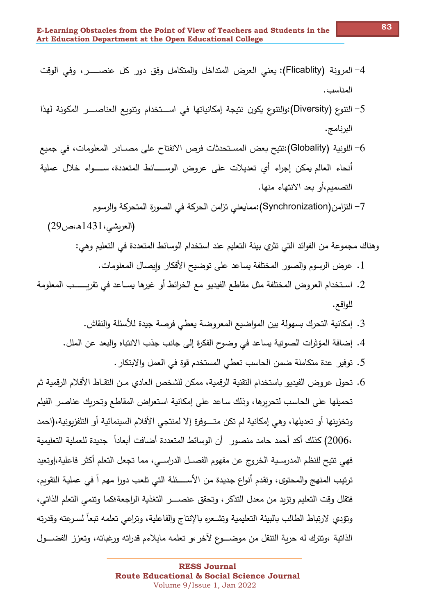- 4– المرونة (Flicablity): يعني العرض المتداخل والمتكامل وفق دور كل عنصـــــر ، وفي الوقت المناسب.
- 5– التنوع (Diversity):والتنوع يكون نتيجة إمكانياتها في اســـتخدام وتنويع العناصــــر المكونة لهذا البرنامج.
- اللونية (Globality):تتيح بعض المستحدثات فرص الانفتاح على مصــادر المعلومات، في جميع أنحاء العالم يمكن إجراء أي تعديلات على عروض الوســــائط المتعددة، ســــواء خلال عملية التصميم،أو بعد الانتهاء منها.
	- 7– التزامن(Synchronization):ممايعني تزامن الحركة في الصورة المتحركة والرسوم

وهناك مجموعة من الفوائد التي تثري بيئة التعليم عند استخدام الوسائط المتعددة في التعليم وهي:

- 1. عرض الرسوم والصور المختلفة يساعد على توضيح الأفكار وإيصال المعلومات.
- 2. اسـتخدام العروض المختلفة مثل مقاطـع الفيديو مـع الخرائط أو غيرها يســاعد فـي تقربــــــب المعلومة للواقع.
	- 3. إمكانية التحرك بسهولة بين المواضيع المعروضة يعطي فرصة جيدة للأسئلة والنقاش.
	- 4. إضافة المؤثرات الصوتية يساعد في وضوح الفكرة إلى جانب جذب الانتباه والبعد عن الملل.
		- 5. توفير عدة متكاملة ضمن الحاسب تعطي المستخدم قوة في العمل والابتكار .
- 6. تحول عروض الفيديو باستخدام التقنية الرقمية، ممكن للشخص العادي مـن التقـاط الأفلام الرقمية ثم تحميلها على الحاسب لتحريرها، وذلك ساعد على إمكانية استعراض المقاطع وتحربك عناصىر الفيلم وتخزينها أو تعديلها، وهي إمكانية لم تكن متـــوفرة إلا لمنتجى الأفلام السينمائية أو التلفزبونية،(احمد ،2006) كذلك أكد أحمد حامد منصور أن الوسائط المتعددة أضافت أبعاداً جديدة للعملية التعليمية فهي تتيح للنظم المدرسـية الخروج عن مفهوم الفصــل الدراســي، مما تجعل التعلم أكثر فاعلية،إوتعيد ترتيب المنهج والمحتوى، وتقدم أنواع جديدة من الأســــئلة التي تلعب دورا مهم اً في عملية التقويم، فتقلل وقت التعليم وتزيد من معدل التذكر ، وتحقق عنصــــر التغذية الراجعة؛كما وتتمى التعلم الذاتي، وتؤدى لارتباط الطالب بالبيئة التعليمية وتشعره بالإنتاج والفاعلية، وتراعى تعلمه تبعاً لسرعته وقدرته الذاتية ،وتترك له حربة التنقل من موضـــوع لآخر ،و تعلمه مايلاءم قدراته ورغباته، وتعزز الفضـــول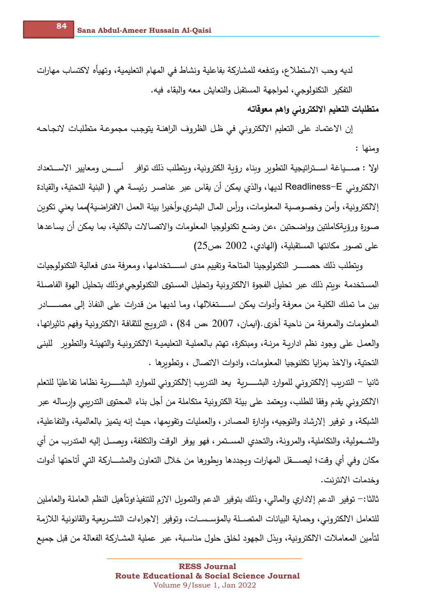لديه وحب الاستطلاع، وتدفعه للمشاركة بفاعلية ونشاط في المهام التعليمية، وتهيأه لاكتساب مهارات التفكير التكنولوجي، لمواجهة المستقبل والتعايش معه والبقاء فيه.

متطلبات التعليم الالكترونى وإهم معوقاته

إن الاعتماد على التعليم الالكتروني في ظل الظروف الراهنة يتوجب مجموعة متطلبات لانجاحه ومنها :

اولا : صـــياغة اســـتراتيجية التطوير وبناء رؤية الكترونية، وبتطلب ذلك توافر أســس ومعايير الاســـتعداد الالكتروني Readliness–E لديها، والذي يمكن أن يقاس عبر عناصـر رئيسـة هي ( البنية التحتية، والقيادة إلالكترونية، وأمن وخصوصية المعلومات، ورأس المال البشري،وأخيرا بيئة العمل الافتراضية)مما يعني تكوبن صورة ورؤيةكاملتين وواضحتين ،عن وضع تكنولوجيا المعلومات والاتصالات بالكلية، بما يمكن أن يساعدها على تصور مكانتها المستقبلية، (الهادى، 2002 ،ص25)

وبتطلب ذلك حصسس التكنولوجينا المتاحة وتقييم مدى اسستخدامها، ومعرفة مدى فعالية التكنولوجيات المستخدمة ،وبتم ذلك عبر تحليل الفجوة الالكترونية وتحليل المستوى التكنولوجي ؛وذلك بتحليل الهوة الفاصلة بين ما تملك الكلية من معرفة وأدوات يمكن اســــتغلالها، وما لديها من قدرات على النفاذ إلى مصــــــادر المعلومات والمعرفة من ناحية أخرى.(ايمان، 2007 ،ص 84) ، الترويج للثقافة الالكترونية وفهم تاثيراتها، والعمل على وجود نظم اداربـة مرنـة، ومبتكرة، تهتم بـالعمليـة التعليميـة الالكترونيـة والتهيئـة والتطوير للبنبي التحتية، والاخذ بمزايا تكلنوجيا المعلومات، وادوات الاتصال ، وتطويرها .

ثانيا – التدربب إلالكتروني للموارد البشـــــربة يعد التدربب إلالكتروني للموارد البشـــــربة نظاما تفاعليًا للتعلم الالكتروني يقدم وفقا للطلب، وبعتمد على بيئة الكترونية متكاملة من أجل بناء المحتوى التدرببي وارساله عبر الشبكة، و توفير إلارشاد والتوجيه، وإدارة المصادر ، والعمليات وتقويمها، حيث إنه يتميز بالعالمية، والتفاعلية، والشــمولية، والتكاملية، والمرونة، والتحدي المســتمر ، فهو يوفر الوقت والتكلفة، وبصــل إليه المتدرب من أي مكان وفي أي وقت؛ ليصــــقل المهارات وبجددها وبطورها من خلال التعاون والمشــــاركة التي أتاحتها أدوات وخدمات الانترنت.

ثالثا:– توفير الدعم إلاداري والمالي، وذلك بتوفير الدعم والتموبل الازم للتنفيذ؛وتأهيل النظم العاملة والعاملين للتعامل الالكتروني، وحماية البيانات المتصــلة بالمؤسـســات، وتوفير إلاجراءات التشــربعية والقانونية اللازمة لتأمين المعاملات الالكترونية، وبذل الجهود لخلق حلول مناسبة، عبر عملية المشـاركة الفعالة من قبل جميع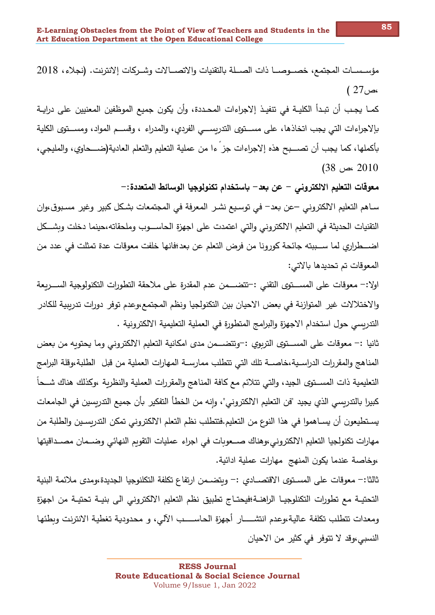كمـا يجـب أن تبـدأ الكليــة في تنفيـذ إلاجراءات المحـددة، وأن يكون جميع الموظفين المعنيين على درايــة بإلاجراءات التي يجب اتخاذها، على مســتوى التدريســـي الفردي، والمدراء ، وقســم المواد، ومســتوى الكلية بأكملها، كما يجب أن تصـــبح هذه إلاجراءات جز ءا من عملية التعليم والتعلم العادية(ضـــحاوي، والمليجي،  $(38, 2010)$ 

معوقات التعليم الالكتروني – عن بعد– باستخدام تكنولوجيا الوسائط المتعددة:–

سـاهم التعليم الالكتروني –عن بعد– في توسـيـع نشـر المعرفة في المـجتمعات بشـكل كبير وغير مسـبوق،وان التقنيات الحديثة في التعليم الالكتروني وإلتي اعتمدت على اجهزةِ الحاســـوب وملحقاته،حينما دخلت وبشـــكل اضـــطراري لما ســـببته جائحة كورونا من فرض التعلم عن بعد؛فانها خلفت معوقات عدة تمثلت في عدد من المعوقات تم تحديدها بالاتي:

اولا:– معوقات على المســـتوى التقني :–تتضــــمن عدم المقدرة على ملاحقة التطورات التكنولوجية الســـربعة والاختلالات غير المتوازنة في بعض الاحيان بين التكنولجيا ونظم المجتمع،وعدم توفر دورات تدريبية للكادر التدريسي حول استخدام الاجهزة والبرامج المتطورة في العملية التعليمية الالكترونية .

ثانيا :– معوقات على المســـتوى التربوي :–وتتضـــمن مدى امكانية التعليم الالكتروني وما يحتوبه من بعض المناهج والمقررات الدراسـية،خاصـــة تلك التي تتطلب ممارســة المهارات العملية من قبل الطلبة،وقلة البرامج التعليمية ذات المســتوي الجيد، والتي تتلائم مـع كافة المناهج والمقررات العملية والنظرية ،وكذلك هناك شــحاً كبيرا بالتدريسي الذي يجيد "فن التعليم الالكتروني"، وإنه من الخطأ التفكير بأن جميع التدريسين في الجامعات يستطيعون أن يسـاهموا في هذا النوع من التعليم.فتتطلب نظم التعلم الالكتروني تمكن التدريسـين والطلبة من مهارات تكنولجيا التعليم الالكتروني،وهناك صـعوبات في اجراء عمليات التقويم النهائي وضـمان مصـداقيتها ،وخاصة عندما يكون المنهج مهارات عملية ادائية.

ثالثا:– معوقات على المسـتوى الاقتصــادي :– وبتضــمن ارتفاع تكلفة التكلنوجيا الجديدة،ومدى ملائمة البنية التحتيــة مـع تطورات التكنلوجيــا الراهنــة؛فيحتــاج تطبيق نظم التعليم الالكتروني الى بنيــة تحتيــة من اجهزة ومعدات تتطلب تكلفة عالية،وعدم انتشــــار أجهزة الحاســــب الآلي، و محدودية تغطية الانترنت وبطئها النسبي،وقد لا تتوفر في كثير من الاحيان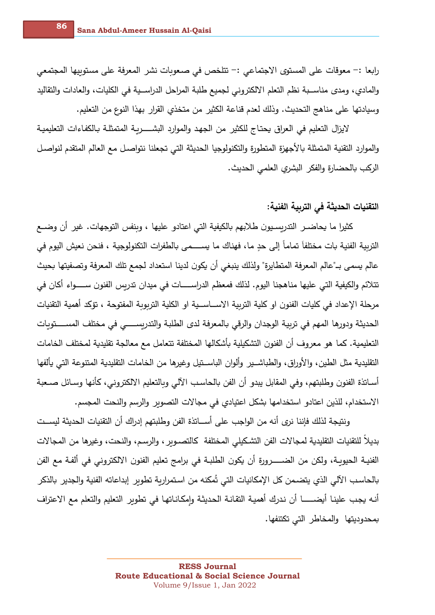رابعا :– معوقات على المستوى الاجتماعي :– تتلخص في صعوبات نشر المعرفة على مستوبيها المجتمعي والمادي، ومدى مناســبة نظم التعلم الالكتروني لجميع طلبة المراحل الدراســية في الكليات، والعادات والتقاليد وسيادتها على مناهج التحديث. وذلك لعدم قناعة الكثير من متخذى القرار بهذا النوع من التعليم.

لايزال التعليم في العراق يحتاج للكثير من الجهد والموارد البشـــــربـة المتمثلـة بـالكفـاءات التعليميـة والموارد التقنية المتمثلة بالأجهزة المتطورة والتكنولوجيا الحديثة التي تجعلنا نتواصل مع العالم المتقدم لنواصل الركب بالحضارة والفكر البشري العلمي الحديث.

## التقنيات الحديثة في التربية الفنية:

كثيرا ما يحاضـر التدربسـيون طلابـهم بالكيفية التي اعتادو عليها ، وبنفس التوجهات. غير أن وضــع التربية الفنية بات مختلفاً تماماً إلى حدٍ ما، فهناك ما يســـمي بالطفرات التكنولوجية ، فنحن نعيش اليوم في عالم يسمى بـ"عالم المعرفة المتطايرة" ولذلك ينبغي أن يكون لدينا استعداد لجمع تلك المعرفة وتصفيتها بحيث تتلائم والكيفية التي عليها مناهجنا اليوم. لذلك فمعظم الدراســـــات في ميدان تدربس الفنون ســـــواء أكان في مرحلة الإعداد في كليات الفنون او كلية التربية الاســـاســية او الكلية التربوبة المفتوحة ، تؤكد أهمية التقنيات الحديثة ودورها المهم في تربية الوجدان والرقي بالمعرفة لدى الطلبة والتدربســــي في مختلف المســــتوبات التعليمية. كما هو معروف أن الفنون التشكيلية بأشكالها المختلفة تتعامل مع معالجة تقليدية لمختلف الخامات التقليدية مثل الطين، والأوراق، والطباشــير ٍ وألوان الباســتيل وغيرها من الخامات التقليدية المتنوعة التي يألفها أســاتذة الفنون وطلبتهم، وفي المقابل يبدو أن الفن بالـحاسب الآلي وبالتعليم الالكتروني، كأنها وسـائل صــعبة الاستخدام، للذين اعتادو استخدامها بشكل اعتيادي في مجالات التصوير والرسم والنحت المجسم.

ونتيجة لذلك فإننا نرى أنه من الواجب على أســاتذة الفن وطلبتهم إدراك أن التقنيات الحديثة ليســت بديلا للتقنيات التقليدية لمجالات الفن التشكيلي المختلفة كالتصـوبر ، والرسـم، والنحت، وغيرها من المجالات الفنيــة الـحيوبــة، ولكن من الضــــــرورة أن يكون الطلبــة في برامـج تعليم الفنون الالكتروني في ألفـة مـع الفن بالحاسب الآلي الذي يتضـمن كل الإمكانيات التي تُمكنه من استمراربة تطوبر إبداعاته الفنية والجدير بالذكر أنـه يجب علينـا أيضـــــــا أن ندرك أهميـة التقانـة الـحديثـة وإمكـانـاتهـا في تطوبر التعليم والتعلم مـع الاعتراف بمحدوديتها والمخاطر التي تكتنفها.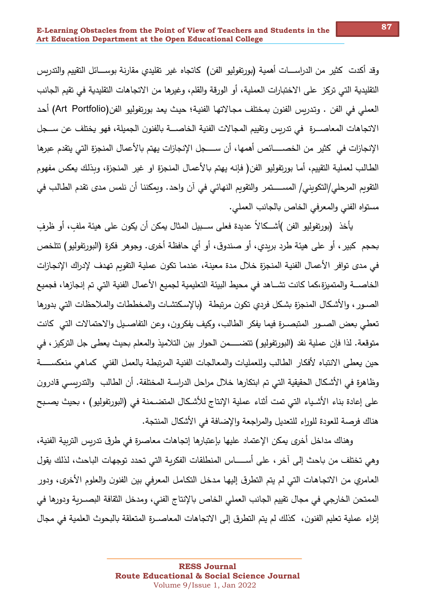وقد أكدت كثير من الدراســـات أهمية (بورتفوليو الفن) كاتجاه غير تقليدي مقارنة بوســــائل التقييم والتدريس التقليدية التي تركز على الاختبارات العملية، أو الورقة والقلم، وغيرها من الاتجاهات التقليدية في تقيم الجانب العملي في الفن . وتدربس الفنون بمختلف مجالاتها الفنية؛ حيث يعد بورتفوليو الفن(Art Portfolio) أحد الاتجاهات المعاصـــرة في تدريس وتقييم المجالات الفنية الخاصـــة بالفنون الجميلة، فهو يختلف عن ســـجل الإنجازات في كثير من الخصـــــائص أهمها، أن ســــجل الإنجازات يهتم بالأعمال المنجزة التي يتقدم عبرها الطالب لعملية التقييم، أما بورتفوليو الفن( فإنه يهتم بالأعمال المنجزة او غير المنجزة، وبذلك يعكس مفهوم التقويم المرحلي/التكويني/ المســـــتمر والتقويم النهائي في آن واحد. وبمكننا أن نلمس مدى تقدم الطالب في مستواه الفني والمعرفي الخاص بالجانب العملي.

يأخذ (بورتفوليو الفن )أشـــكـالاً عديدة فعلى ســـبيل المثال يمكن أن يكون على هيئة ملفٍ، أو ظرفٍ بحجم كبير ، أو على هيئة طرد بربدي، أو صندوق، أو أي حافظة أخرى. وجوهر فكرة (البورتفوليو) تتلخص في مدى توافر الأعمال الفنية المنجزة خلال مدة معينة، عندما تكون عملية التقويم تهدف لإدراك الإنجازات الخاصـــة والمتميزة،كما كانت تشـــاهد في محيط البيئة التعليمية لجميع الأعمال الفنية التي تم إنجازها، فجميع الصـور ، والأشكال المنجزة بشكل فردي تكون مرتبطة (بالإسكتشـات والمخططات والملاحظات التي بدورها تعطي بعض الصــور المتبصــرة فيما يفكر الطالب، وكيف يفكرون، وعن التفاصــيل والاحتمالات التي كانت متوقعة. لذا فإن عملية نقد (البورتفوليو ) تتضـــــمن الحوار بين التلاميذ والمعلم بحيث يعطي جل التركيز ، في حين يعطي الانتباه لأفكار الطالب وللعمليات والمعالجات الفنية المرتبطة بالعمل الفني كماهي منعكســـــة وظاهرة في الأشكال الحقيقية التي تم ابتكارها خلال مراحل الدراسـة المختلفة. أن الطالب والتدريسـي قادرون على إعادة بناء الأشـياء التي تمت أثناء عملية الإنتاج للأشكال المتضـمنة في (البورتفوليو) ، بحيث يصـبح هناك فرصة للعودة للوراء للتعديل والمراجعة والإضافة في الأشكال المنتجة.

وهناك مداخل أخرى يمكن الإعتماد عليها بإعتبارها إتجاهات معاصرة في طرق تدربس التربية الفنية، وهي تختلف من باحث إلى آخر ، على أســـــاس المنطلقات الفكربـة التي تحدد توجهات الباحث، لذلك يقول العـامري من الاتجـاهـات التي لم يتم التطرق إليهـا مـدخل التكـامـل المعرفـي بين الفنون والعلوم الأخرى، ودور الممتحن الخارجي في مجال تقييم الجانب العملي الخاص بالإنتاج الفني، ومدخل الثقافة البصـربـة ودورها في إثراء عملية تعليم الفنون، كذلك لم يتم التطرق إلى الاتجاهات المعاصــرة المتعلقة بالبحوث العلمية في مجال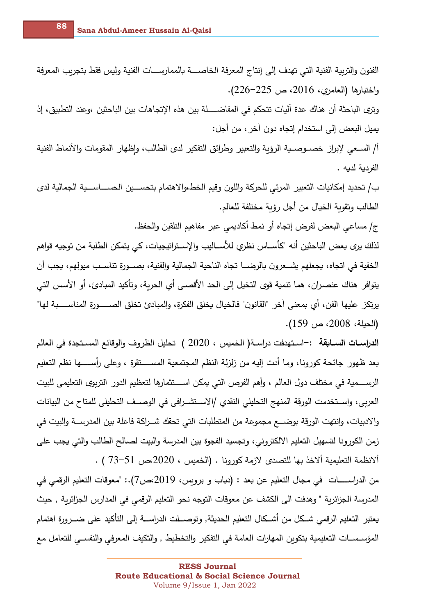الفنون والتربية الفنية التي تهدف إلى إنتاج المعرفة الخاصــــة بالممارســـات الفنية وليس فقط بتجربب المعرفة واختبارها (العامري، 2016، ص 225–226).

وتري الباحثة أن هناك عدة آليات تتحكم في المفاضـــــلة بين هذه الإتجاهات بين الباحثين ،وعند التطبيق، إذ يميل البعض إلى استخدام إتجاه دون آخر ، من أجل:

أ/ السـعي لإبراز خصــوصــية الرؤبـة والتعبير وطرائق التفكير لدى الطالب، واظهار المقومات والأنماط الفنية الفردية لديه .

ب/ تحديد إمكانيات التعبير المرئي للحركة واللون وقيم الخط،والاهتمام بتحســـين الحســـاســـية الجمالية لدى الطالب وتقوبة الخيال من أجل رؤبة مختلفة للعالم.

ج/ مساعي البعض لفرض إتجاه أو نمط أكاديمي عبر مفاهيم التلقين والحفظ.

لذلك يرى بعض الباحثين أنه "كأســـاس نظري للأســـاليب والإســتراتيجيات، كـي يتمكن الطلبة من توجيه قواهم الخفية في اتجاه، يجعلهم يشــعرون بالرضـــا تجاه الناحية الجمالية والفنية، بصــورة تناسـب ميولهم، يجب أن يتوافر هناك عنصران، هما تتمية قوى التخيل إلى الحد الأقصـى أى الحربة، وتأكيد المبادئ، أو الأسس التي يرتكز عليها الفن، أي بمعنى آخر "القانون" فالخيال يخلق الفكرة، والمبادئ تخلق الصـــــورة المناســــبة لها" (الحيلة، 2008، ص 159).

**الدراسـات الســابقة :** –اسـتهدفت دراسـة( الخميس ، 2020 ) تحليل الظروف والوقائع المسـتجدة في العالم بعد ظهور جائحة كورونا، وما أدت إليه من زلزلة النظم المجتمعية المســــتقرة ، وعلى رأســـــها نظم التعليم الرســــمية في مختلف دول العالم ، وأهم الفرص التي يمكن اســــتثمارها لتعظيم الدور التربوي التعليمي للبيت العربي، واســتخدمت الورقة المنهج التحليلي النقدي /الاســتشــرافي في الوصـــف التحليلي للمتاح من البيانات والادبيات، وانتهت الورقة بوضـــع مجموعة من المتطلبات التي تحقك شــراكة فاعلة بين المدرســـة والبيت في زمن الكورونا لتسهيل التعليم الالكتروني، وتجسيد الفجوة بين المدرسة والبيت لصالح الطالب والتي يجب على  $\cdot$  ( النظمة التعليمية ألاخذ بها للتصدي لازمة كورونا . (الخميس ، 2020،ص، 51 $\,$  ) .

من الدراســــــات في مجال التعليم عن بعد : (دباب و برويس، 2019،ص7).: "معوقات التعليم الرقمي في المدرسة الجزائربة " وهدفت الى الكشف عن معوقات التوجه نحو التعليم الرقمي في المدارس الجزائربة , حيث يعتبر التعليم الرقمي شـــكل من أشـــكال التعليم الـحديثة, وتوصـــلت الدراســـة إلـي التأكيد علـي ضـــرورة اهتمام المؤســســات التعليمية بتكوبن المهارات العامة في التفكير والتخطيط , والتكيف المعرفي والنفســي للتعامل مـع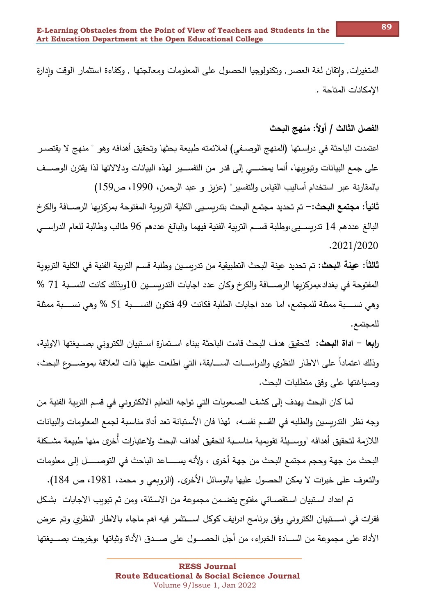المتغيرات, واتقان لغة العصر , وتكنولوجيا الحصول على المعلومات ومعالجتها , وكفاءة استثمار الوقت وادارة الإمكانات المتاحة .

الفصل الثالث / أولاً: منهج البحث

اعتمدت الباحثة في دراسـتها (المنهج الوصـفي) لملائمته طبيعة بحثها وتحقيق أهدافه وهو " منهج لا يقتصـر على جمع البيانات وتبويبها، أنما يمضـــي إلى قدر من التفســير لهذه البيانات ودلالاتها لذا يقترن الوصـــف بالمقارنة عبر استخدام أساليب القياس والتفسير " (عزبز و عبد الرحمن، 1990، ص159) **ثانياً: مجتمع البحث:** – تم تحديد مجتمع البحث بتدربسـيي الكلية التربوبة المفتوحة بمركزبـها الرصــافة والكرخ البالغ عددهم 14 تدربســيي،وطلبة قســم التربية الفنية فيهما والبالغ عددهم 96 طالب وطالبة للعام الدراســي

 $.2021/2020$ 

**ثالثاً: عينة البحث:** تم تحديد عينة البحث التطبيقية من تدربسـين وطلبة قسـم التربية الفنية في الكلية التربوبة المفتوحة في بغداد،بمركزبها الرصـــافة والكرخ وكان عدد اجابات التدربســين 10وبذلك كانت النســبة 71 % وهي نســــبة ممثلة للمجتمع، اما عدد اجابات الطلبة فكانت 49 فتكون النســــبة 51 % وهي نســــبة ممثلة للمجتمع.

را**بع**ا – ا**داة البحث: ل**تحقيق هدف البحث قامت الباحثة ببناء اسـتمارة اسـتبيان الكتروني بصــيغتها الاولية، وذلك اعتماداً على الاطار النظري والدراســـات الســـابقة، التي اطلعت عليها ذات العلاقة بموضـــوع البحث، وصياغتها على وفق متطلبات البحث.

لما كان البحث يهدف إلى كشف الصـعوبات التي تواجه التعليم الالكتروني في قسم التربية الفنية من وجه نظر التدريسين والطلبه في القسم نفسـه، لهذا فان الأستبانة تعد أداة مناسبة لجمع المعلومات والبيانات اللازمة لتحقيق أهدافه "ووســيلة تقويمية مناســبة لتحقيق أهداف البحث ولاعتبارات أخرى منها طبيعة مشــكلة البحث من جهة وحجم مجتمع البحث من جهة أخرى ، ولأنه يســـــاعد الباحث في التوصـــــل إلى معلومات والتعرف على خبرات لا يمكن الحصول عليها بالوسائل الأخرى. (الزوبعي و محمد، 1981، ص 184).

تم اعداد استبيان استقصـائي مفتوح يتضـمن مجموعة من الاسـئلة، ومن ثم تبويب الاجابات بشـكل فقرات في اســـتبيان الكتروني وفق برنامج ادرايف كوكل اســـتثمر فيه اهم ماجاء بالاطار النظري وتم عرض الأداة على مجموعة من الســـادة الخبراء، من أجل الحصـــول على صـــدق الأداة وثباتها ،وخرجت بصـــيغتها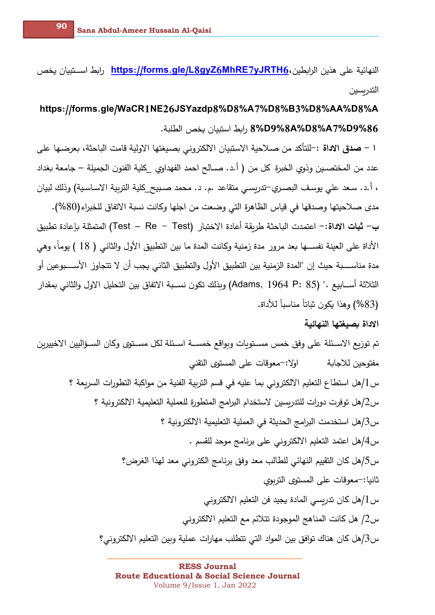النهائية على هذين الرابطين، https://forms.gle/L8gyZ6MhRE7yJRTH6 رابط اســتييان يخص التدريسين

https://forms.gle/WaCR1NE26JSYazdp8%D8%A7%D8%B3%D8%AA%D8%A 86%8A%D8%A7%D9%8 ,ابط استيبان بخص الطلبة.

ا – **صدق الاداة :**–للتأكد من صـلاحية الاستبيان الالكتروني بصبيغتها الاولية قامت الباحثة، بعرضـها على عدد من المختصـين وذوى الخبرة كل من ( أ.د. صــالح احمد الفهداوي \_كلية الفنون الجميلة — جامعة بغداد ، أ.د. سـعد علي يوسف البصـري–تدربسـي متقاعد .م. د. مـحمد صـبيح كلية التربية الاسـاسـية) وذلك لبيان مدى صـلاحيتها وصدقها في قياس الظاهرة التي وضعت من اجلها وكانت نسبة الاتفاق للخبراء(80%). ب– **ثبات الاداة** :– اعتمدت الباحثة طربقة أعادة الاختبار (Test – Re – Test) المتمثلة بإعادة تطبيق الأداة على العينة نفســـها بعد مرور مدة زمنية وكانت المدة ما بين التطبيق الأول والثاني ( 18 ) يوماً، وهي مدة مناســــبة حيث إن "المدة الزمنية بين التطبيق الأول والتطبيق الثاني يجب أن لا تتجاوز الأســــبوعين أو الثلاثة أســابيع ." (Adams, 1964 P: 85) وبذلك تكون نســبة الاتفاق بين التحليل الاول والثاني بمقدار (83%) وهذا يكون ثباتاً مناسباً للأداة.

الاداة بصيغتها النهائية

تم توزيع الاسـئلة على وفق خمس مسـتويات وبواقع خمســة اسـئلة لكل مسـتوى وكان السـؤاليين الاخييرين اولا:—معوقات على المستوى التقني مفتوحين للاجابة س1/هل استطاع التعليم الالكتروني بما عليه في قسم التربية الفنية من مواكبة التطورات السريعة ؟ س2/هل توفرت دورات للتدربسين لاستخدام البرامج المتطورة للعملية التعليمية الالكترونية ؟ س3/هل استخدمت البرامج الحديثة في العملية التعليمية الالكترونية ؟ س4/هل اعتمد التعليم الالكتروني على برنامج موحد للقسم . س5/هل كان التقييم النهائي للطالب معد وفق برنامج الكتروني معد لهذا الغرض؟ ثانيا:–معوقات على المستوى التربوي س 1/هل كان تدربسي المادة يجيد فن التعليم الالكتروني س2/ هل كانت المناهج الموجودة تتلائم مع التعليم الالكتروني س3/هل كان هناك توافق بين المواد التي تتطلب مهارات عملية وبين التعليم الالكتروني؟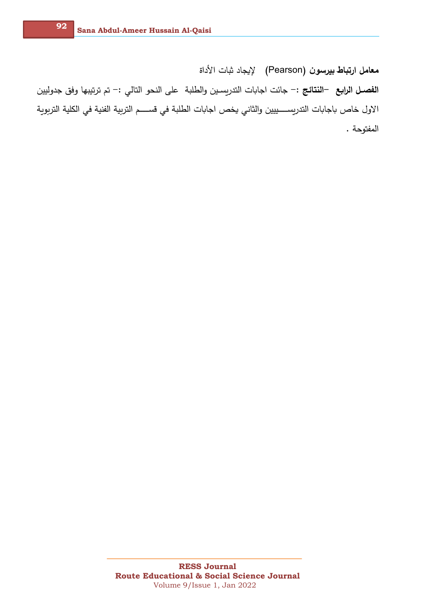معامل ارتباط بيرسون (Pearson) لإيجاد ثبات الأداة ا**لفصـل الرابـع** —ا**لنتائـج** :— جائت اجابات التدريسـين والطلبة على النحو التالي :— تم ترتيبها وفق جدوليين الاول خاص باجابات التدريســــييين والثاني يخص اجابات الطلبة في قســــم التربية الفنية في الكلية التربوية المفتوحة .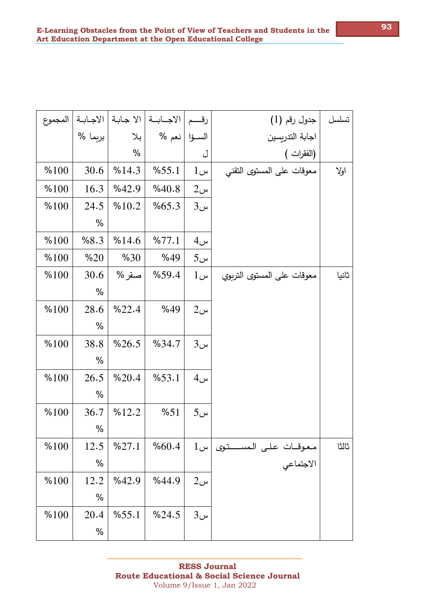| تسلسل | جدول رقم (1)                            | رقسم            | الاجــابـــة   الا جـابـة   الاجـابــة |               |         | المجموع |
|-------|-----------------------------------------|-----------------|----------------------------------------|---------------|---------|---------|
|       | اجابة التدريسين                         |                 | الســؤا   نعم %                        | بلا           | بربما % |         |
|       | (الفقرات )                              | ل               |                                        | $\frac{0}{0}$ |         |         |
| اولا  | معوقات على المستوى التقني               | $1$ س           | %55.1                                  | %14.3         | 30.6    | %100    |
|       |                                         | $2\omega$       | %40.8                                  | %42.9         | 16.3    | %100    |
|       |                                         | $3u$ س          | %65.3                                  | %10.2         | 24.5    | %100    |
|       |                                         |                 |                                        |               | $\%$    |         |
|       |                                         | 4 <sub>u</sub>  | %77.1                                  | %14.6         | %8.3    | %100    |
|       |                                         | $5\omega$       | %49                                    | %30           | %20     | %100    |
| ثانيا | معوقات على المستوى التربوي              | $1$ س           | %59.4                                  | صقر %         | 30.6    | %100    |
|       |                                         |                 |                                        |               | $\%$    |         |
|       |                                         | $2\omega$       | %49                                    | %22.4         | 28.6    | %100    |
|       |                                         |                 |                                        |               | $\%$    |         |
|       |                                         | $3u$ س          | %34.7                                  | %26.5         | 38.8    | %100    |
|       |                                         |                 |                                        |               | $\%$    |         |
|       |                                         | $4U$ س          | %53.1                                  | %20.4         | 26.5    | %100    |
|       |                                         |                 |                                        |               | $\%$    |         |
|       |                                         | 5 <sub>cm</sub> | %51                                    | %12.2         | 36.7    | %100    |
|       |                                         |                 |                                        |               | $\%$    |         |
| ثالثا |                                         |                 | %60.4                                  | %27.1         | 12.5    | %100    |
|       | معوقـات على المســـتوى  س1<br>الاجتماعي |                 |                                        |               | $\%$    |         |
|       |                                         | $2\omega$       | %44.9                                  | %42.9         | 12.2    | %100    |
|       |                                         |                 |                                        |               | $\%$    |         |
|       |                                         | $3u$ س          | %24.5                                  | %55.1         | 20.4    | %100    |
|       |                                         |                 |                                        |               | $\%$    |         |
|       |                                         |                 |                                        |               |         |         |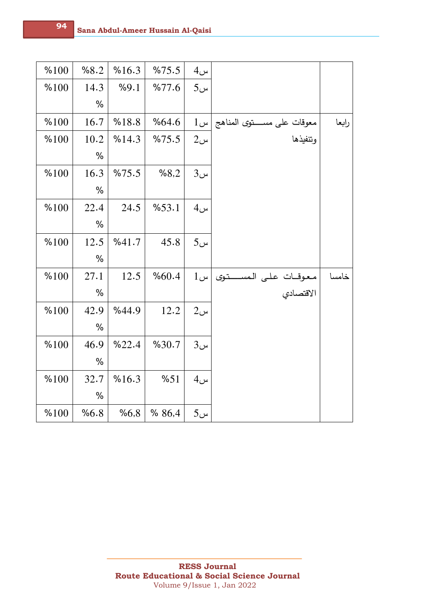|       |                                             | 4 <sub>u</sub>  | %75.5 | %16.3 | %8.2 | %100 |
|-------|---------------------------------------------|-----------------|-------|-------|------|------|
|       |                                             | 5 <sub>u</sub>  | %77.6 | %9.1  | 14.3 | %100 |
|       |                                             |                 |       |       | $\%$ |      |
| رابعا | $1$ معوقات على مستوى المناهج  س             |                 | %64.6 | %18.8 | 16.7 | %100 |
|       | وتنفيذها                                    | $2\omega$       | %75.5 | %14.3 | 10.2 | %100 |
|       |                                             |                 |       |       | $\%$ |      |
|       |                                             | $3u$ س          | %8,2  | %75.5 | 16.3 | %100 |
|       |                                             |                 |       |       | $\%$ |      |
|       |                                             | 4 <sub>u</sub>  | %53.1 | 24.5  | 22.4 | %100 |
|       |                                             |                 |       |       | $\%$ |      |
|       |                                             | 5 <sub>cm</sub> | 45.8  | %41.7 | 12.5 | %100 |
|       |                                             |                 |       |       | $\%$ |      |
| خامسا |                                             | $1$ س           | %60.4 | 12.5  | 27.1 | %100 |
|       | معوقــات عـلـى الـمســـــتـوى<br>الاقتصـادي |                 |       |       | $\%$ |      |
|       |                                             | $2\omega$       | 12.2  | %44.9 | 42.9 | %100 |
|       |                                             |                 |       |       | %    |      |
|       |                                             | 3 <sub>u</sub>  | %30.7 | %22.4 | 46.9 | %100 |
|       |                                             |                 |       |       | $\%$ |      |
|       |                                             | 4 <sub>u</sub>  | %51   | %16.3 | 32.7 | %100 |
|       |                                             |                 |       |       | $\%$ |      |
|       |                                             | 5 <sub>u</sub>  | %86,4 | %6,8  | %6.8 | %100 |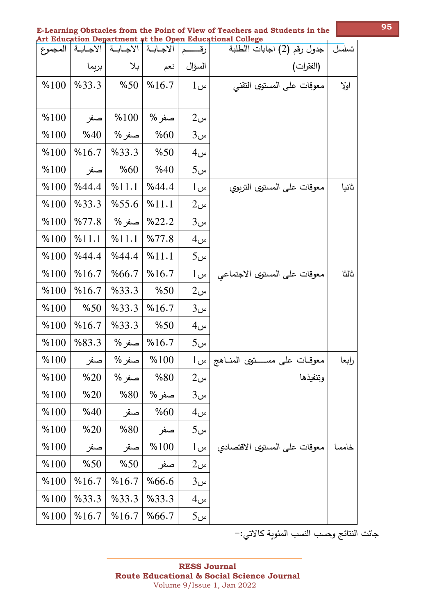|  |                                                          |  |  |  | E-Learning Obstacles from the Point of View of Teachers and Students in the |  |
|--|----------------------------------------------------------|--|--|--|-----------------------------------------------------------------------------|--|
|  | Art Education Department at the Open Educational College |  |  |  |                                                                             |  |
|  |                                                          |  |  |  |                                                                             |  |

| المجموع | الاجابة | الاجابة | الاجابة | رقـــــم       | جدول رقم (2) اجابات االطلبة           | تسلسل |
|---------|---------|---------|---------|----------------|---------------------------------------|-------|
|         | بربما   | بلا     | نعم     | السؤال         | (الفقرات)                             |       |
| %100    | %33.3   | %50     | %16.7   | $1$ س          | معوقات على المستوى التقنى             | اولا  |
|         |         |         |         |                |                                       |       |
| %100    | صفر     | %100    | صفر %   | $2\omega$      |                                       |       |
| %100    | %40     | صفر %   | %60     | 3 <sub>u</sub> |                                       |       |
| %100    | %16.7   | %33.3   | %50     | $4$ س          |                                       |       |
| %100    | صفر     | %60     | %40     | $5$ س          |                                       |       |
| %100    | %44.4   | %11.1   | %44.4   | $1$ س          | معوقات على المستوى التربوي            | ثانيا |
| %100    | %33.3   | %55.6   | %11.1   | $2\omega$      |                                       |       |
| %100    | %77.8   | صفر %   | %22.2   | $3$ س          |                                       |       |
| %100    | %11.1   | %11.1   | %77.8   | $4$ س          |                                       |       |
| %100    | %44.4   | %44.4   | %11.1   | $5\omega$      |                                       |       |
| %100    | %16.7   | %66.7   | %16.7   | $1$ س          | معوقات على المستوى الاجتماعي          | ثالثا |
| %100    | %16.7   | %33.3   | %50     | $2\omega$      |                                       |       |
| %100    | %50     | %33.3   | %16.7   | 3 <sub>u</sub> |                                       |       |
| %100    | %16.7   | %33.3   | %50     | $4$ س          |                                       |       |
| %100    | %83.3   | صفر %   | %16.7   | $5\omega$      |                                       |       |
| %100    | صفر     | صفر %   | %100    | $1$ س          | معوقــات علـي مســـــــتوى المنـــاهج | رابعا |
| %100    | %20     | صفر %   | %80     | $2\omega$      | وتنفيذها                              |       |
| %100    | %20     | %80     | صفر %   | $3\omega$      |                                       |       |
| %100    | %40     | صقر     | %60     | $4$ س          |                                       |       |
| %100    | %20     | %80     | صفر     | $5\omega$      |                                       |       |
| %100    | صفر     | صقر     | %100    | $1$ س          | معوقات على المستوى الاقتصادى          | خامسا |
| %100    | %50     | %50     | صفر     | $2\omega$      |                                       |       |
| %100    | %16.7   | %16.7   | %66.6   | $3$ س          |                                       |       |
| %100    | %33.3   | %33.3   | %33.3   | $4$ س          |                                       |       |
| %100    | %16.7   | %16.7   | %66.7   | $5\omega$      |                                       |       |

جائت النتائج وحسب النسب المئوية كالاتي:–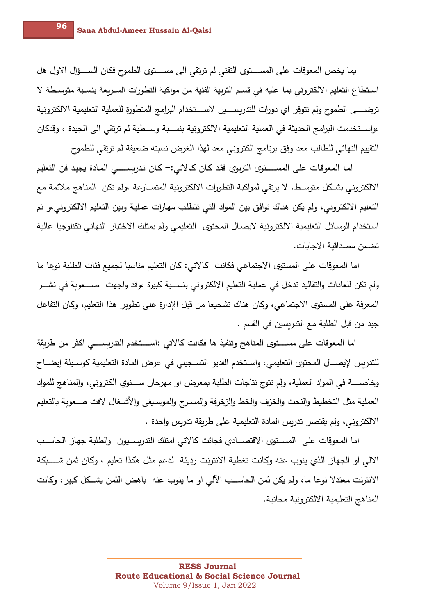يما يخص المعوقات على المســــتوى التقني لم ترتقي الى مســـتوى الطموح فكان الســــؤال الاول هل استطاع التعليم الالكتروني بما عليه في قسم التربية الفنية من مواكبة التطورات السريعة بنسبة متوسطة لا ترضـــــى الطموح ولم تتوفر اى دورات للتدربســــين لاســــتخدام البرامج المتطورة للعملية التعليمية الالكترونية ،واســتخدمت البرامج الـحديثة في الـعملية التعليمية الالكترونية بنســبة وســطية لم ترتقي الي الـجيدة ، وقدكان التقييم النهائي للطالب معد وفق برنامج الكتروني معد لهذا الغرض نسبته ضعيفة لم ترتقي للطموح

امـا المعوقـات على المســــتوى التربوي فقد كـان كـالاتي:– كـان تدربســـــي المـادة يجيد فن التعليم الالكتروني بشكل متوسـط، لا يرتقي لمواكبة التطورات الالكترونية المتســارعة ،ولم تكن المناهج ملائمة مع التعليم الالكتروني، ولم يكن هناك توافق بين المواد التي تتطلب مهارات عملية وبين التعليم الالكتروني،و تم استخدام الوسائل التعليمية الالكترونية لايصال المحتوى التعليمي ولم يمتلك الاختبار النهائي تكنلوجيا عالية تضمن مصداقية الاجابات.

اما المعوقات على المستوى الاجتماعي فكانت كالاتي: كان التعليم مناسبا لجميع فئات الطلبة نوعا ما ولم تكن للعادات والتقاليد تدخل في عملية التعليم الالكتروني بنســبة كبيرة ،وقد وإجهت صــــعوبة في نشـــر المعرفة على المستوى الاجتماعي، وكان هناك تشجيعا من قبل الإدارة على تطوير هذا التعليم، وكان التفاعل جيد من قبل الطلبة مع التدربسين في القسم .

اما المعوقات على مســــتوى المناهج وتنفيذ ها فكانت كالاتــ :اســــتخدم التدربســـــى اكثر من طريقة للتدريس لإيصـــال المحتوى التعليمي، واسـتخدم الفديو التســجيلي في عرض المادة التعليمية كوسـيلة إيضـــاح وخاصـــــــة في المواد العملية، ولم تتوج نتاجات الطلبة بمعرض او مهرجان ســــنوي الكتروني، والمناهج للمواد العملية مثل التخطيط والنحت والخزف والخط والزخرفة والمسرح والموسـيقى والأشـغال لاقت صــعوبة بالتعليم الالكتروني، ولم يقتصر تدربس المادة التعليمية على طريقة تدربس وإحدة .

اما المعوقات على المســتوى الاقتصـــادي فجائت كالاتي امتلك التدربســيون والطلبة جهاز الحاســب الالي او الجهاز الذي ينوب عنه وكانت تغطية الانترنت رديئة لدعم مثل هكذا تعليم ، وكان ثمن شــــبكة الانترنت معتدلا نوعا ما، ولم يكن ثمن الحاسـب الآلي او ما ينوب عنه باهض الثمن بشــكل كبير ، وكانت المناهج التعليمية الالكترونية مجانية.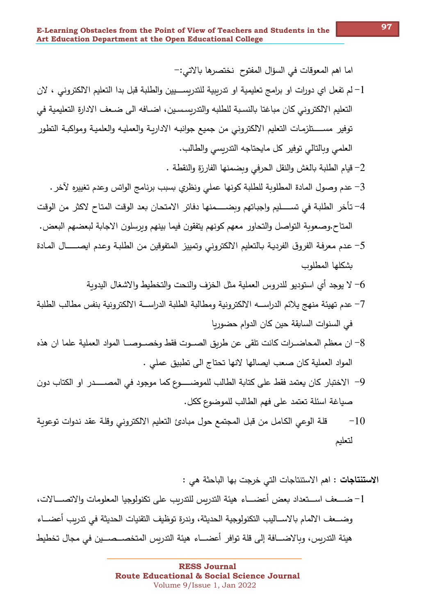اما اهم المعوقات في السؤال المفتوح نختصرها بالاتي:-

- لم تفعل اي دورات او برامج تعليمية او تدريبية للتدريســــيين والطلبة قبل بدا التعليم الالكتروني ، لان - $1\,$ التعليم الالكتروني كان مباغتا بالنسبة للطلبه والتدربسسين، اضــافه الى ضـعف الادارة التعليمية في توفير مســـــتلزمـات التعليم الالكتروني من جميع جوانبـه الاداريـة والعمليـه والعلميـة ومواكبـة التطور العلمي وبالتالي توفير كل مايحتاجه التدربسي والطالب.
	- 2– قيام الطلبة بالغش والنقل الحرفي وبضمنها الفارزة والنقطة .
	- محم وصول المادة المطلوبة للطلبة كونها عملي ونظري بسبب برنامج الواتس وعدم تغييره لآخر .  $3$
- 4– تأخر الطلبة في تســــليم واجباتهم وبضـــــمنها دفاتر الامتحان بعد الوقت المتاح لاكثر من الوقت المتاح.وصعوبة التواصل والتحاور معهم كونهم يتفقون فيما بينهم وبرسلون الاجابة لبعضهم البعض.
- عدم معرفة الفروق الفردية بالتعليم الالكتروني وتمييز المتفوقين من الطلبة وعدم ايصـــــال المـادة يشكلها المطلوب
	- 6– لا يوجد أي استوديو للدروس العملية مثل الخزف والنحت والتخطيط والاشغال اليدوية
- 7– عدم تهيئة منهج يلائم الدراســـه الالكترونية ومطالبة الطلبة الدراســـة الالكترونية بنفس مطالب الطلبة في السنوات السابقة حين كان الدوام حضوربا
- 8– ان معظم المحاضــرات كانت تلقى عن طريق الصــوت فقط وخصــوصــا المواد العملية علما ان هذه المواد العملية كان صعب ايصالها لانها تحتاج الى تطبيق عملى .
- 9– الاختبار كان يعتمد فقط على كتابة الطالب للموضـــــوع كما موجود في المصـــــدر او الكتاب دون صياغة اسئلة تعتمد على فهم الطالب للموضوع ككل.
- قلة الوعي الكامل من قبل المجتمع حول مبادئ التعليم الالكتروني وقلة عقد ندوات توعوية  $-10$ لتعليم

الا**ستنتاجات :** اهم الاستنتاجات التي خرجت بها الباحثة هي :

1– ضــــعف اســـتعداد بعض أعضـــــاء هيئة التدربس للتدربب على تكنولوجيا المعلومات والاتصـــــالات، وضـــعف الالمام بالاســاليب التكنولوجية الـحديثة، وندرة توظيف التقنيات الـحديثة في تدربب أعضـــاء هيئة التدربس، وبالاضـــافة إلى قلة توافر أعضـــاء هيئة التدريس المتخصـــصـــين في مجال تخطيط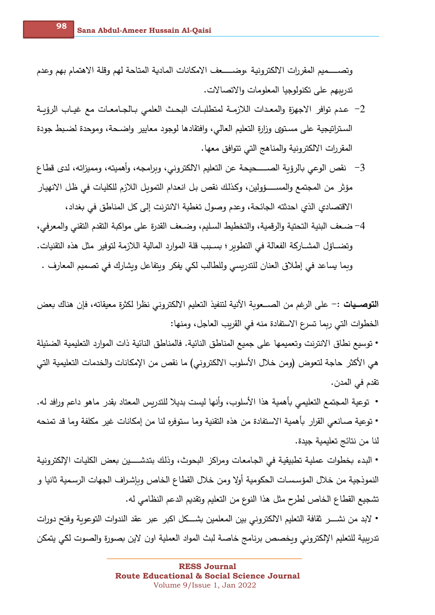وتصـــــميم المقررات الالكترونية ،وضــــــعف الامكانات المادية المتاحة لهم وقلة الاهتمام بهم وعدم تدرببهم على تكنولوجيا المعلومات والاتصالات.

- − عدم توافر الاجهزة والمعدات اللازمــة لمتطلبــات البحـث العلمي بــالجــامعــات مـع غيــاب الرؤبــة الستراتيجية على مستوى وزارة التعليم العالي، وافتقادها لوجود معايير واضـحة، وموحدة لضـبط جودة المقررات الالكترونية والمناهج التي تتوافق معها.
- <sup>2</sup>− نقص الوعى بالرؤبة الصـــــحيحة عن التعليم الالكتروني، وبرامجه، وأهميته، ومميزاته، لدى قطاع مؤثر من المجتمع والمســـــؤولين، وكذلك نقص بل انعدام التموبل اللازم للكليات في ظل الانهيار الاقتصادي الذي احدثته الجائحة، وعدم وصول تغطية الانترنت إلى كل المناطق في بغداد،
- 4– ضـعف البنية التحتية والرقمية، والتخطيط السليم، وضـعف القدرة على مواكبة التقدم التقني والمعرفي، وتضــاؤل المشــاركة الفعالة في التطوير ؛ بسـبب قلة الموارد المالية اللازمة لتوفير مثل هذه التقنيات. وبما يساعد في إطلاق العنان للتدريسي وللطالب لكي يفكر وبتفاعل وبشارك في تصميم المعارف .

ا**لتوصــيات :**– على الرغم من الصـــعوبة الآنية لتنفيذ التعليم الالكتروني نظرا لكثرة معيقاته، فإن هناك بعض الخطوات التي ربما تسرع الاستفادة منه في القربب العاجل، ومنها:

• توسيع نطاق الانترنت وتعميمها على جميع المناطق النائية. فالمناطق النائية ذات الموارد التعليمية الضئيلة هي الأكثر حاجة لتعوض (ومن خلال الأسلوب الالكتروني) ما نقص من الإمكانات والخدمات التعليمية التي تقدم ف*ي* المدن.

- توعية المجتمع التعليمي بأهمية هذا الأسلوب، وأنها ليست بديلا للتدربس المعتاد بقدر ماهو داعم ورافد له. • توعية صـانعي القرار بأهمية الاستفادة من هذه التقنية وما ستوفره لنا من إمكانات غير مكلفة وما قد تمنحه لنا من نتائج تعليمية جيدة.
- البدء بخطوات عملية تطبيقية في الجامعات ومراكز البحوث، وذلك بتدشــــين بعض الكليات الإلكترونية النموذجية من خلال المؤسسات الحكومية أولا ومن خلال القطاع الخاص وبإشراف الجهات الرسمية ثانيا و تشجيع القطاع الخاص لطرح مثل هذا النوع من التعليم وتقديم الدعم النظامي له.
- لابد من نشــــر نقافة التعليم الالكتروني بين المعلمين بشـــكل اكبر عبر عقد الندوات التوعوية وفتح دورات تدرببية للتعليم الإلكتروني وبخصص برنامج خاصـة لبث المواد العملية اون لاين بصـورة والصـوت لكي يتمكن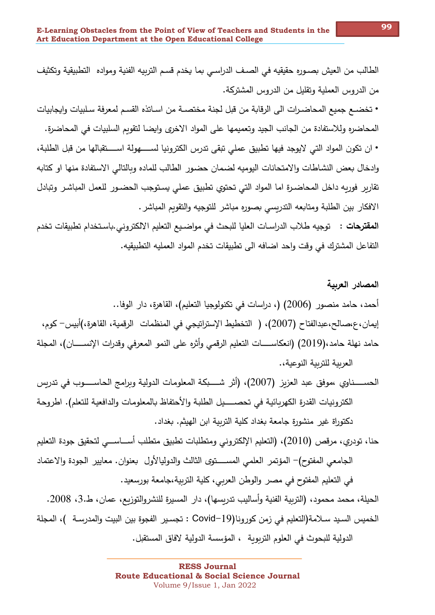الطالب من العيش بصــوره حقيقيه في الصــف الدراســي بما يخدم قسـم التربيه الفنية ومواده التطبيقية وتكثيف من الدروس العملية وتقليل من الدروس المشتركة.

• تخضــع جميع المحاضـرات الـي الرقابة من قبل لجنة مختصــة من اسـاتذه القسـم لمعرفة سـلبيات وايـجابيات المحاضره وللاستفادة من الجانب الجيد وتعميمها على المواد الاخرى وايضا لتقويم السلبيات في المحاضرة.

• ان تكون المواد التي لايوجد فيها تطبيق عملي تبقي تدرس الكترونيا لســـــهولة اســــتقبالها من قبل الطلبة، وإدخال بعض النشاطات والامتحانات اليوميه لضمان حضور الطالب للماده وبالتالي الاستفادة منها او كتابه تقاربر فوربه داخل المحاضـرة اما المواد التي تحتوي تطبيق عملي يسـتوجب الحضـور للعمل المباشـر وتبادل الافكار بين الطلبة ومتابعه التدربسي بصوره مباشر للتوجيه والتقويم المباشر .

ا**لمقترحات** : توجيه طلاب الدراسـات العليا للبحث في مواضـيـع التعليم الالكتروني.باسـتخدام تطبيقات تخدم التفاعل المشترك في وقت واحد اضافه الى تطبيقات تخدم المواد العمليه التطبيقيه.

الحســــناوي ،موفق عبد العزيز (2007)، (أثر شــــبكة المعلومات الدولية وبرامج الحاســــوب في تدربس الكترونيات القدرة الكهربائية في تحصـــــيل الطلبة والأحتفاظ بالمعلومات والدافعية للتعلم). اطروحة دكتوراة غير منشورة جامعة بغداد كلية التربية ابن الهيثم. بغداد.

حنا، تودري، مرقص (2010)، (التعليم الإلكتروني ومتطلبات تطبيق متطلب أســـاســـي لتحقيق جودة التعليم الجامعي المفتوح)— المؤتمر العلمي المســــتوى الثالث والدوليالأول بعنوان. معايير الجودة والاعتماد في التعليم المفتوح في مصر ٍ والوطن العربي، كلية التربية،جامعة بورسعيد.

الحيلة، محمد محمود، (التربية الفنية وأساليب تدربسها)، دار المسيرة للنشروالتوزيع، عمان، ط.3، 2008. الخميس السيد سـلامة(التعليم في زمن كورونا(Covid–19 : تجسير الفجوةِ بين البيت والمدرسـة )، المجلة الدولية للبحوث في العلوم التربوية ، المؤسسة الدولية لافاق المستقبل.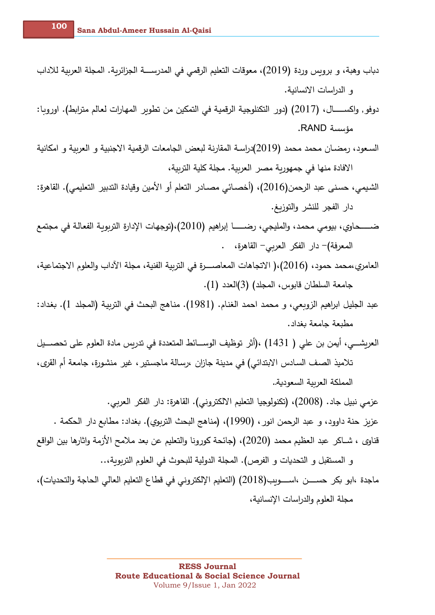**100**

- دباب وهبة، و بروبس وردة (2019)، معوقات التعليم الرقمي في المدرســــة الجزائرية. المجلة العربية للاداب و الدراسات الانسانية.
- دوفو, واكســــــال، (2017) (دور التكنلوجية الرقمية في التمكين من تطوير المهارات لعالم مترابط). اوروبا: مؤسسة RAND.
- السعود، رمضـان محمد محمد (2019)دراسـة المقارنة لبعض الجامعات الرقمية الاجنبية و العربية و امكانية الافادة منها في جمهورية مصر العربية. مجلة كلية التربية،
- الشيمي، حسنى عبد الرحمن(2016)، (أخصـائي مصـادر التعلم أو الأمين وقيادة التدبير التعليمي). القاهرة: دار الفجر للنشر والتوزيغ.
- ضـــــــــــــ2ـاوl، ب)/مي م2@ـJ، وال@ل)Aي، رضــــــــــــــا إب ا(ه). (2010) ع@&Aم يف ةـلاـعفلا ةـ\_/m&)لا ةرادلإا تاـهج/ت(، المعرفة)– دار الفكر العربي– القاهرة، .
- العامري،محمد حمود، (2016)،( الاتجاهات المعاصــــرة في التربية الفنية، مجلة الآداب والعلوم الاجتماعية، جامعة السلطان قابوس، المجلد) (3)العدد (1).
- عبد الجليل ابراهيم الزوبعي، و محمد احمد الغنام. (1981). مناهج البحث في التربية (المجلد 1). بغداد: مطبعة جامعة بغداد.
- العربشـــي، أيمن بن على ( 1431) ،(أثر توظيف الوســـائط المتعددة في تدربس مادة العلوم على تحصـــيل تلاميذ الصـف السـادس الابتدائـي) في مدينة جازان ،رسـالـة ماجستير ، غير منشـورة، جامعة أم القرى، المملكة العرىية السعودية..

عزمي نبيل جاد. (2008)، (تكنولوجيا التعليم الالكتروني). القاهرة: دار الفكر العربي. عزيز حنة داوود، و عبد الرحمن انور ، (1990)، (مناهج البحث التربوي). بغداد: مطابع دار الحكمة .

- قناوي ، شــاكر عبد العظيم محمد (2020)، (جائحة كورونا والتعليم عن بعد ملامح الأزمة واثارها بين الواقع و المستقبل و التحديات و الفرص). المجلة الدولية للبحوث في العلوم التربوبة،..
- ماجدة ،ابو بكر حســـن ،اســــوب(2018) (التعليم الإلكتروني في قطاع التعليم العالي الحاجة والتحديات)، مجلة العلوم والدراسات الإنسانية،